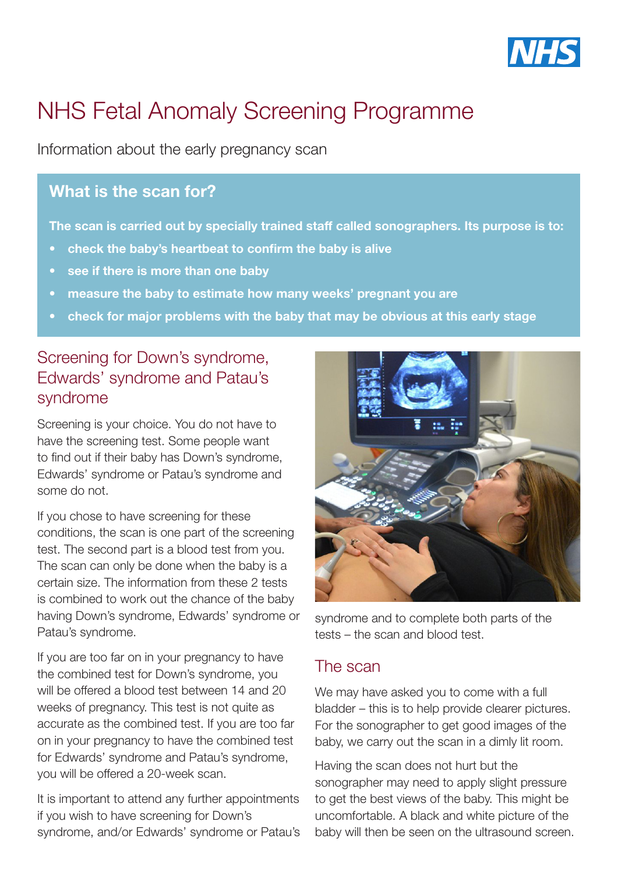

# NHS Fetal Anomaly Screening Programme

Information about the early pregnancy scan

#### What is the scan for?

The scan is carried out by specially trained staff called sonographers. Its purpose is to:

- check the baby's heartbeat to confirm the baby is alive
- see if there is more than one baby
- measure the baby to estimate how many weeks' pregnant you are
- check for major problems with the baby that may be obvious at this early stage

### Screening for Down's syndrome, Edwards' syndrome and Patau's syndrome

Screening is your choice. You do not have to have the screening test. Some people want to find out if their baby has Down's syndrome, Edwards' syndrome or Patau's syndrome and some do not.

If you chose to have screening for these conditions, the scan is one part of the screening test. The second part is a blood test from you. The scan can only be done when the baby is a certain size. The information from these 2 tests is combined to work out the chance of the baby having Down's syndrome, Edwards' syndrome or Patau's syndrome.

If you are too far on in your pregnancy to have the combined test for Down's syndrome, you will be offered a blood test between 14 and 20 weeks of pregnancy. This test is not quite as accurate as the combined test. If you are too far on in your pregnancy to have the combined test for Edwards' syndrome and Patau's syndrome, you will be offered a 20-week scan.

It is important to attend any further appointments if you wish to have screening for Down's syndrome, and/or Edwards' syndrome or Patau's



syndrome and to complete both parts of the tests – the scan and blood test.

### The scan

We may have asked you to come with a full bladder – this is to help provide clearer pictures. For the sonographer to get good images of the baby, we carry out the scan in a dimly lit room.

Having the scan does not hurt but the sonographer may need to apply slight pressure to get the best views of the baby. This might be uncomfortable. A black and white picture of the baby will then be seen on the ultrasound screen.